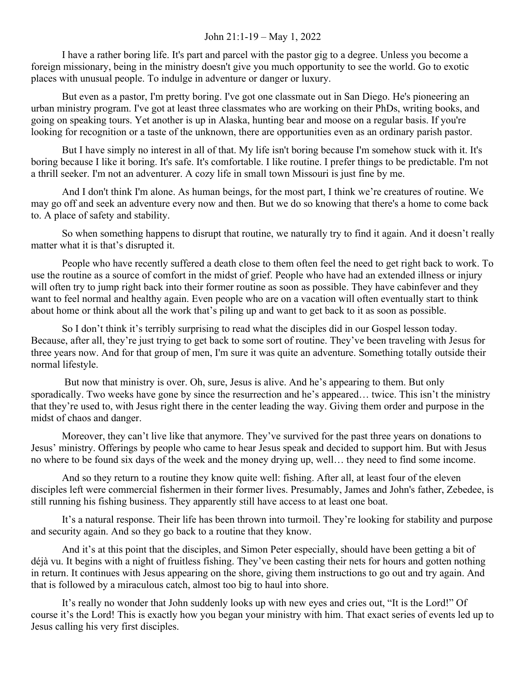## John 21:1-19 – May 1, 2022

I have a rather boring life. It's part and parcel with the pastor gig to a degree. Unless you become a foreign missionary, being in the ministry doesn't give you much opportunity to see the world. Go to exotic places with unusual people. To indulge in adventure or danger or luxury.

But even as a pastor, I'm pretty boring. I've got one classmate out in San Diego. He's pioneering an urban ministry program. I've got at least three classmates who are working on their PhDs, writing books, and going on speaking tours. Yet another is up in Alaska, hunting bear and moose on a regular basis. If you're looking for recognition or a taste of the unknown, there are opportunities even as an ordinary parish pastor.

But I have simply no interest in all of that. My life isn't boring because I'm somehow stuck with it. It's boring because I like it boring. It's safe. It's comfortable. I like routine. I prefer things to be predictable. I'm not a thrill seeker. I'm not an adventurer. A cozy life in small town Missouri is just fine by me.

And I don't think I'm alone. As human beings, for the most part, I think we're creatures of routine. We may go off and seek an adventure every now and then. But we do so knowing that there's a home to come back to. A place of safety and stability.

So when something happens to disrupt that routine, we naturally try to find it again. And it doesn't really matter what it is that's disrupted it.

People who have recently suffered a death close to them often feel the need to get right back to work. To use the routine as a source of comfort in the midst of grief. People who have had an extended illness or injury will often try to jump right back into their former routine as soon as possible. They have cabinfever and they want to feel normal and healthy again. Even people who are on a vacation will often eventually start to think about home or think about all the work that's piling up and want to get back to it as soon as possible.

So I don't think it's terribly surprising to read what the disciples did in our Gospel lesson today. Because, after all, they're just trying to get back to some sort of routine. They've been traveling with Jesus for three years now. And for that group of men, I'm sure it was quite an adventure. Something totally outside their normal lifestyle.

 But now that ministry is over. Oh, sure, Jesus is alive. And he's appearing to them. But only sporadically. Two weeks have gone by since the resurrection and he's appeared… twice. This isn't the ministry that they're used to, with Jesus right there in the center leading the way. Giving them order and purpose in the midst of chaos and danger.

Moreover, they can't live like that anymore. They've survived for the past three years on donations to Jesus' ministry. Offerings by people who came to hear Jesus speak and decided to support him. But with Jesus no where to be found six days of the week and the money drying up, well… they need to find some income.

And so they return to a routine they know quite well: fishing. After all, at least four of the eleven disciples left were commercial fishermen in their former lives. Presumably, James and John's father, Zebedee, is still running his fishing business. They apparently still have access to at least one boat.

It's a natural response. Their life has been thrown into turmoil. They're looking for stability and purpose and security again. And so they go back to a routine that they know.

And it's at this point that the disciples, and Simon Peter especially, should have been getting a bit of déjà vu. It begins with a night of fruitless fishing. They've been casting their nets for hours and gotten nothing in return. It continues with Jesus appearing on the shore, giving them instructions to go out and try again. And that is followed by a miraculous catch, almost too big to haul into shore.

It's really no wonder that John suddenly looks up with new eyes and cries out, "It is the Lord!" Of course it's the Lord! This is exactly how you began your ministry with him. That exact series of events led up to Jesus calling his very first disciples.